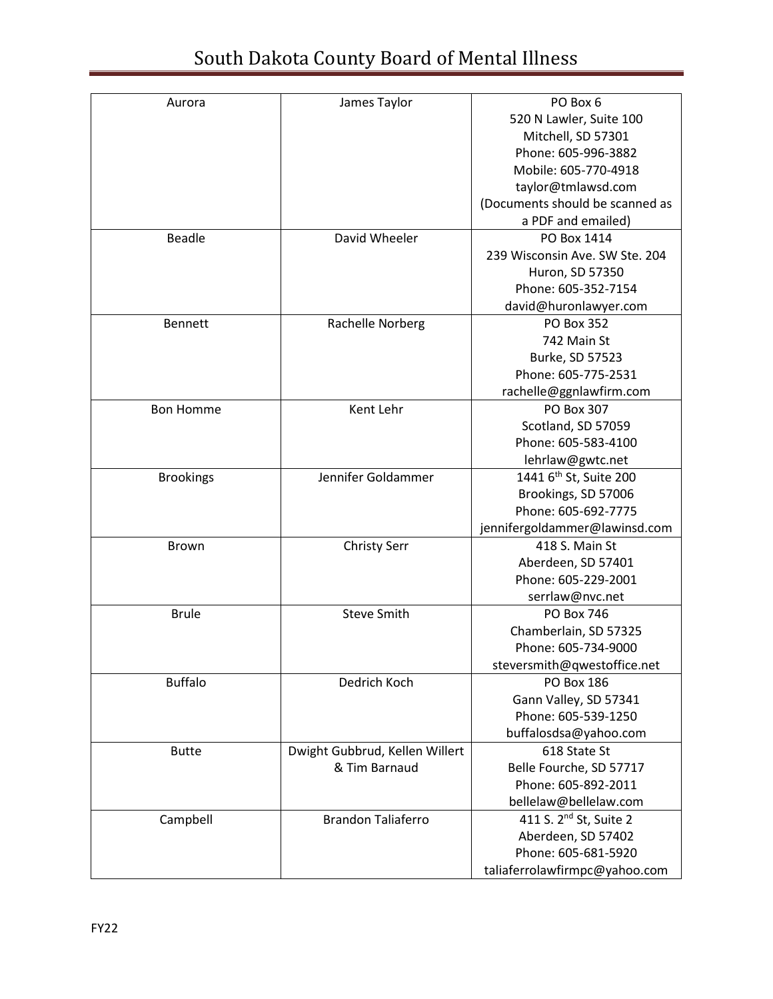| Aurora           | James Taylor                   | PO Box 6                           |
|------------------|--------------------------------|------------------------------------|
|                  |                                | 520 N Lawler, Suite 100            |
|                  |                                | Mitchell, SD 57301                 |
|                  |                                | Phone: 605-996-3882                |
|                  |                                | Mobile: 605-770-4918               |
|                  |                                | taylor@tmlawsd.com                 |
|                  |                                | (Documents should be scanned as    |
|                  |                                | a PDF and emailed)                 |
| <b>Beadle</b>    | David Wheeler                  | PO Box 1414                        |
|                  |                                | 239 Wisconsin Ave. SW Ste. 204     |
|                  |                                | Huron, SD 57350                    |
|                  |                                | Phone: 605-352-7154                |
|                  |                                | david@huronlawyer.com              |
| <b>Bennett</b>   | Rachelle Norberg               | <b>PO Box 352</b>                  |
|                  |                                | 742 Main St                        |
|                  |                                |                                    |
|                  |                                | Burke, SD 57523                    |
|                  |                                | Phone: 605-775-2531                |
|                  |                                | rachelle@ggnlawfirm.com            |
| <b>Bon Homme</b> | Kent Lehr                      | PO Box 307                         |
|                  |                                | Scotland, SD 57059                 |
|                  |                                | Phone: 605-583-4100                |
|                  |                                | lehrlaw@gwtc.net                   |
| <b>Brookings</b> | Jennifer Goldammer             | 1441 6 <sup>th</sup> St, Suite 200 |
|                  |                                | Brookings, SD 57006                |
|                  |                                | Phone: 605-692-7775                |
|                  |                                | jennifergoldammer@lawinsd.com      |
| Brown            | <b>Christy Serr</b>            | 418 S. Main St                     |
|                  |                                | Aberdeen, SD 57401                 |
|                  |                                | Phone: 605-229-2001                |
|                  |                                | serrlaw@nvc.net                    |
| <b>Brule</b>     | <b>Steve Smith</b>             | <b>PO Box 746</b>                  |
|                  |                                | Chamberlain, SD 57325              |
|                  |                                | Phone: 605-734-9000                |
|                  |                                | steversmith@qwestoffice.net        |
| <b>Buffalo</b>   | Dedrich Koch                   | <b>PO Box 186</b>                  |
|                  |                                | Gann Valley, SD 57341              |
|                  |                                | Phone: 605-539-1250                |
|                  |                                | buffalosdsa@yahoo.com              |
| <b>Butte</b>     | Dwight Gubbrud, Kellen Willert | 618 State St                       |
|                  | & Tim Barnaud                  | Belle Fourche, SD 57717            |
|                  |                                | Phone: 605-892-2011                |
|                  |                                | bellelaw@bellelaw.com              |
| Campbell         | <b>Brandon Taliaferro</b>      | 411 S. 2 <sup>nd</sup> St, Suite 2 |
|                  |                                | Aberdeen, SD 57402                 |
|                  |                                | Phone: 605-681-5920                |
|                  |                                | taliaferrolawfirmpc@yahoo.com      |
|                  |                                |                                    |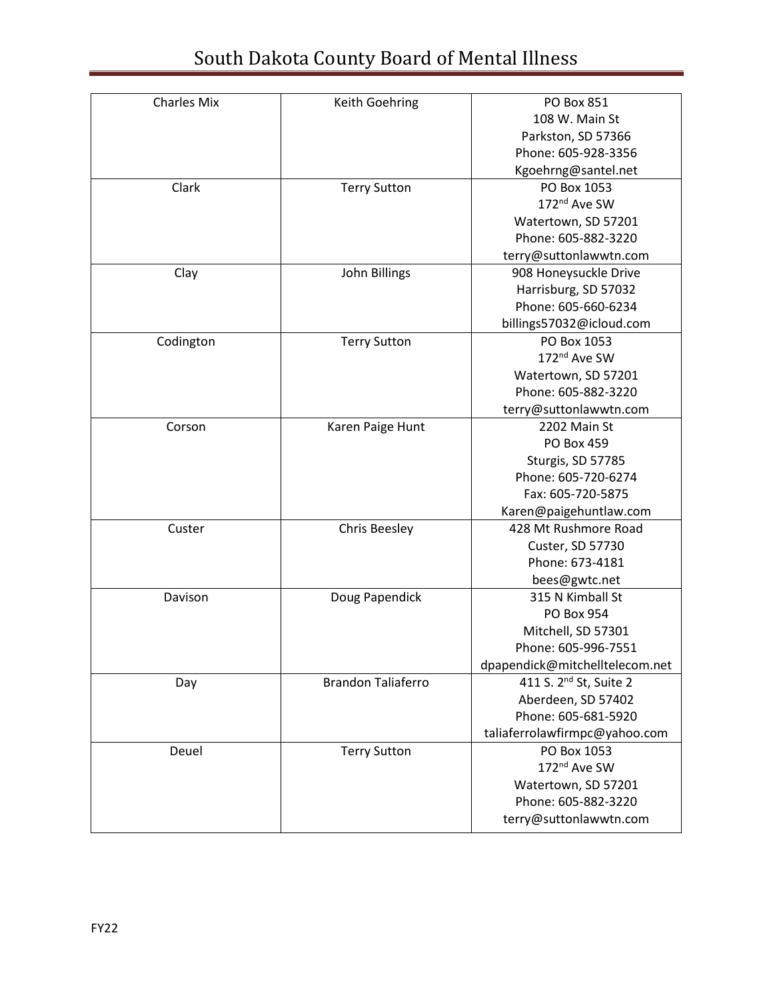| <b>Charles Mix</b> | Keith Goehring            | PO Box 851                         |
|--------------------|---------------------------|------------------------------------|
|                    |                           | 108 W. Main St                     |
|                    |                           | Parkston, SD 57366                 |
|                    |                           | Phone: 605-928-3356                |
|                    |                           | Kgoehrng@santel.net                |
| Clark              | <b>Terry Sutton</b>       | PO Box 1053                        |
|                    |                           | 172 <sup>nd</sup> Ave SW           |
|                    |                           | Watertown, SD 57201                |
|                    |                           | Phone: 605-882-3220                |
|                    |                           | terry@suttonlawwtn.com             |
| Clay               | John Billings             | 908 Honeysuckle Drive              |
|                    |                           | Harrisburg, SD 57032               |
|                    |                           | Phone: 605-660-6234                |
|                    |                           | billings57032@icloud.com           |
| Codington          | <b>Terry Sutton</b>       | PO Box 1053                        |
|                    |                           | 172nd Ave SW                       |
|                    |                           | Watertown, SD 57201                |
|                    |                           | Phone: 605-882-3220                |
|                    |                           | terry@suttonlawwtn.com             |
| Corson             | Karen Paige Hunt          | 2202 Main St                       |
|                    |                           | <b>PO Box 459</b>                  |
|                    |                           | Sturgis, SD 57785                  |
|                    |                           | Phone: 605-720-6274                |
|                    |                           | Fax: 605-720-5875                  |
|                    |                           | Karen@paigehuntlaw.com             |
| Custer             | <b>Chris Beesley</b>      | 428 Mt Rushmore Road               |
|                    |                           | Custer, SD 57730                   |
|                    |                           | Phone: 673-4181                    |
|                    |                           | bees@gwtc.net                      |
| Davison            | Doug Papendick            | 315 N Kimball St                   |
|                    |                           | PO Box 954                         |
|                    |                           | Mitchell, SD 57301                 |
|                    |                           | Phone: 605-996-7551                |
|                    |                           | dpapendick@mitchelltelecom.net     |
| Day                | <b>Brandon Taliaferro</b> | 411 S. 2 <sup>nd</sup> St, Suite 2 |
|                    |                           | Aberdeen, SD 57402                 |
|                    |                           | Phone: 605-681-5920                |
|                    |                           | taliaferrolawfirmpc@yahoo.com      |
| Deuel              | <b>Terry Sutton</b>       | PO Box 1053                        |
|                    |                           | 172nd Ave SW                       |
|                    |                           | Watertown, SD 57201                |
|                    |                           | Phone: 605-882-3220                |
|                    |                           | terry@suttonlawwtn.com             |
|                    |                           |                                    |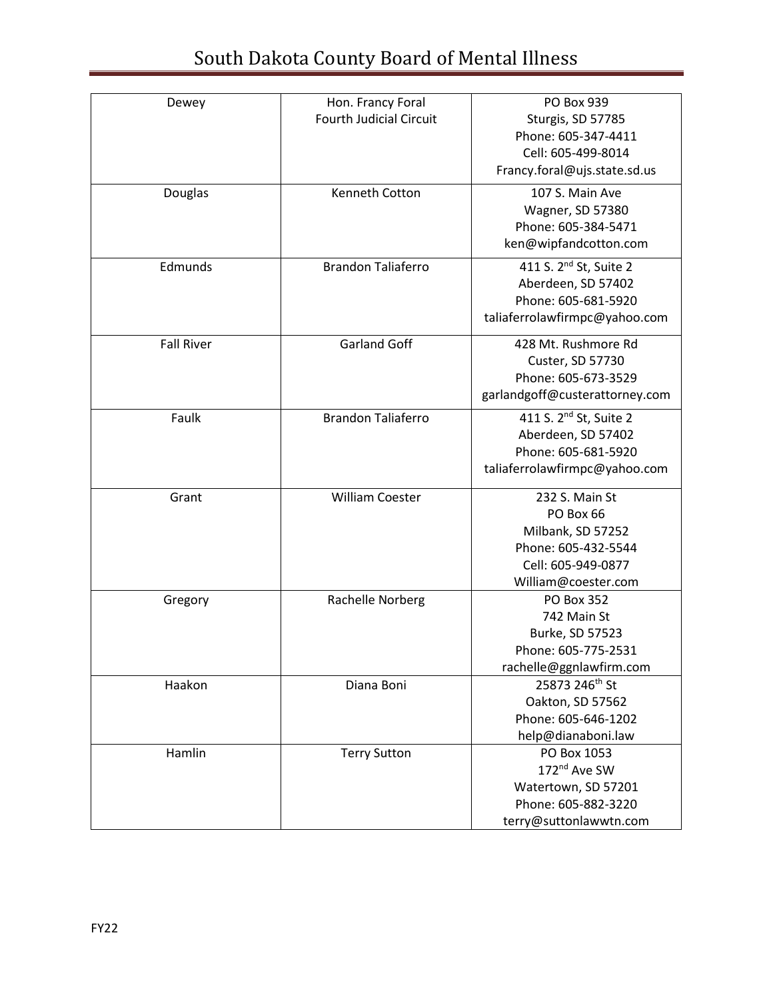| Dewey             | Hon. Francy Foral              | PO Box 939                         |
|-------------------|--------------------------------|------------------------------------|
|                   | <b>Fourth Judicial Circuit</b> | Sturgis, SD 57785                  |
|                   |                                | Phone: 605-347-4411                |
|                   |                                | Cell: 605-499-8014                 |
|                   |                                | Francy.foral@ujs.state.sd.us       |
| Douglas           | Kenneth Cotton                 | 107 S. Main Ave                    |
|                   |                                | Wagner, SD 57380                   |
|                   |                                | Phone: 605-384-5471                |
|                   |                                | ken@wipfandcotton.com              |
| Edmunds           | <b>Brandon Taliaferro</b>      | 411 S. 2 <sup>nd</sup> St, Suite 2 |
|                   |                                | Aberdeen, SD 57402                 |
|                   |                                | Phone: 605-681-5920                |
|                   |                                | taliaferrolawfirmpc@yahoo.com      |
| <b>Fall River</b> | <b>Garland Goff</b>            | 428 Mt. Rushmore Rd                |
|                   |                                | Custer, SD 57730                   |
|                   |                                | Phone: 605-673-3529                |
|                   |                                | garlandgoff@custerattorney.com     |
| Faulk             | <b>Brandon Taliaferro</b>      | 411 S. 2 <sup>nd</sup> St, Suite 2 |
|                   |                                | Aberdeen, SD 57402                 |
|                   |                                | Phone: 605-681-5920                |
|                   |                                | taliaferrolawfirmpc@yahoo.com      |
| Grant             | <b>William Coester</b>         | 232 S. Main St                     |
|                   |                                | PO Box 66                          |
|                   |                                | Milbank, SD 57252                  |
|                   |                                | Phone: 605-432-5544                |
|                   |                                | Cell: 605-949-0877                 |
|                   |                                | William@coester.com                |
| Gregory           | Rachelle Norberg               | <b>PO Box 352</b>                  |
|                   |                                | 742 Main St                        |
|                   |                                | Burke, SD 57523                    |
|                   |                                | Phone: 605-775-2531                |
|                   |                                | rachelle@ggnlawfirm.com            |
| Haakon            | Diana Boni                     | 25873 246th St                     |
|                   |                                | Oakton, SD 57562                   |
|                   |                                | Phone: 605-646-1202                |
|                   |                                | help@dianaboni.law                 |
| Hamlin            | <b>Terry Sutton</b>            | PO Box 1053                        |
|                   |                                | 172nd Ave SW                       |
|                   |                                | Watertown, SD 57201                |
|                   |                                | Phone: 605-882-3220                |
|                   |                                | terry@suttonlawwtn.com             |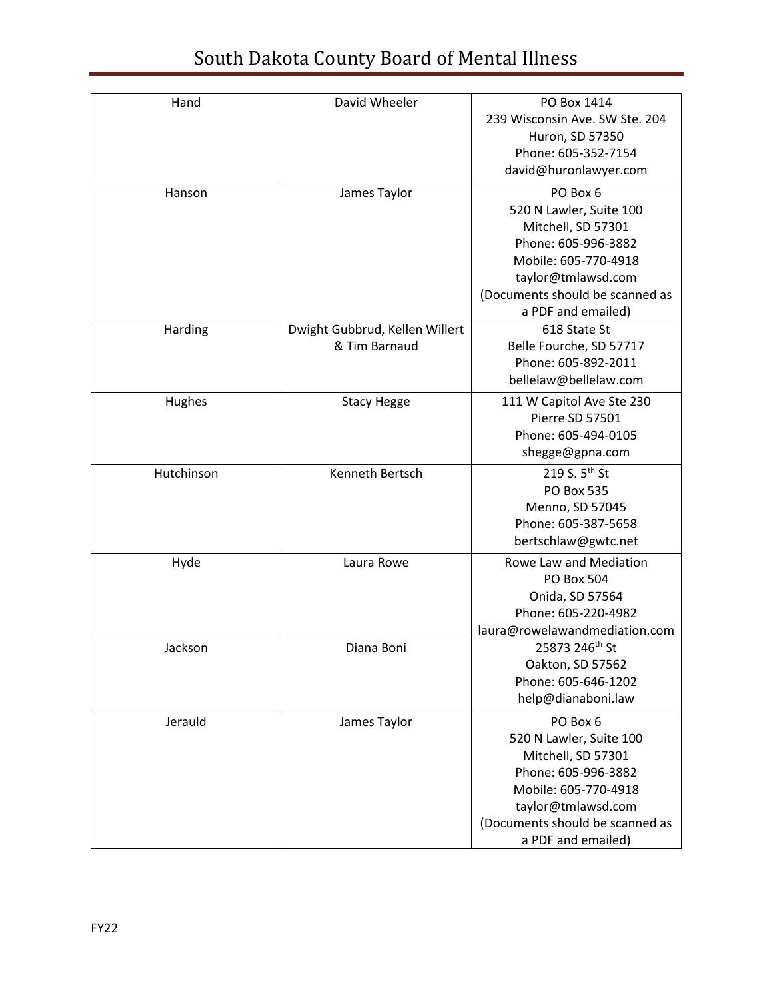| Hand       | David Wheeler                                   | PO Box 1414<br>239 Wisconsin Ave. SW Ste. 204<br>Huron, SD 57350<br>Phone: 605-352-7154<br>david@huronlawyer.com                                                                        |
|------------|-------------------------------------------------|-----------------------------------------------------------------------------------------------------------------------------------------------------------------------------------------|
| Hanson     | James Taylor                                    | PO Box 6<br>520 N Lawler, Suite 100<br>Mitchell, SD 57301<br>Phone: 605-996-3882<br>Mobile: 605-770-4918<br>taylor@tmlawsd.com<br>(Documents should be scanned as<br>a PDF and emailed) |
| Harding    | Dwight Gubbrud, Kellen Willert<br>& Tim Barnaud | 618 State St<br>Belle Fourche, SD 57717<br>Phone: 605-892-2011<br>bellelaw@bellelaw.com                                                                                                 |
| Hughes     | <b>Stacy Hegge</b>                              | 111 W Capitol Ave Ste 230<br>Pierre SD 57501<br>Phone: 605-494-0105<br>shegge@gpna.com                                                                                                  |
| Hutchinson | Kenneth Bertsch                                 | 219 S. 5 <sup>th</sup> St<br><b>PO Box 535</b><br>Menno, SD 57045<br>Phone: 605-387-5658<br>bertschlaw@gwtc.net                                                                         |
| Hyde       | Laura Rowe                                      | Rowe Law and Mediation<br>PO Box 504<br>Onida, SD 57564<br>Phone: 605-220-4982<br>laura@rowelawandmediation.com                                                                         |
| Jackson    | Diana Boni                                      | 25873 246th St<br>Oakton, SD 57562<br>Phone: 605-646-1202<br>help@dianaboni.law                                                                                                         |
| Jerauld    | James Taylor                                    | PO Box 6<br>520 N Lawler, Suite 100<br>Mitchell, SD 57301<br>Phone: 605-996-3882<br>Mobile: 605-770-4918<br>taylor@tmlawsd.com<br>(Documents should be scanned as<br>a PDF and emailed) |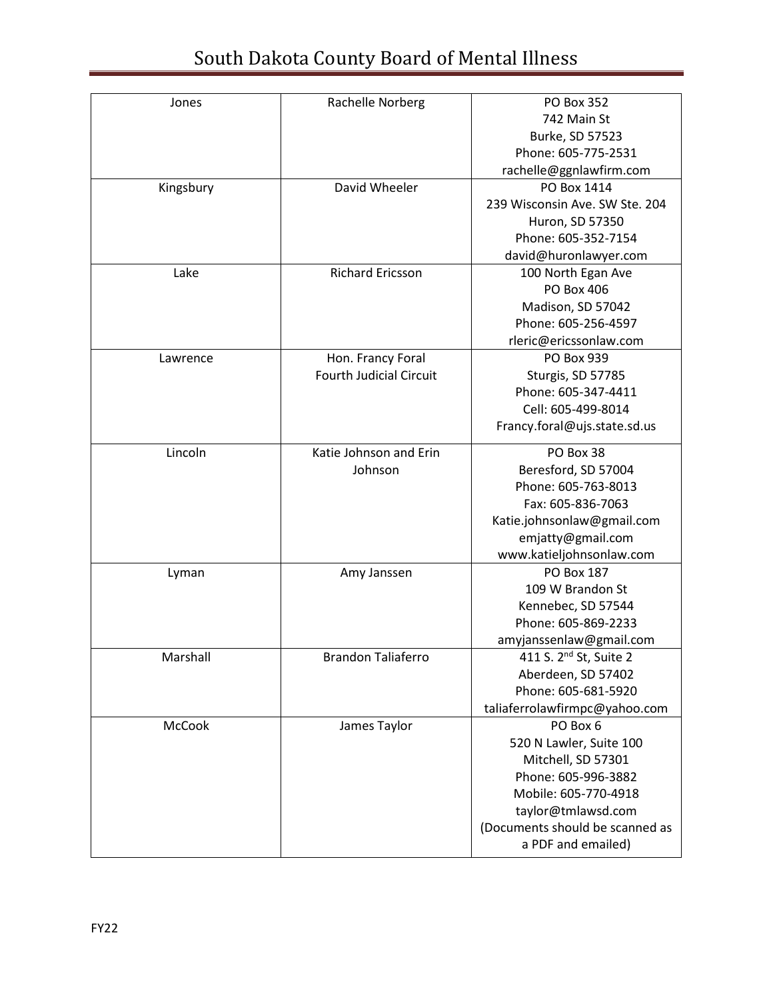| Jones     | Rachelle Norberg               | PO Box 352                      |
|-----------|--------------------------------|---------------------------------|
|           |                                | 742 Main St                     |
|           |                                | Burke, SD 57523                 |
|           |                                | Phone: 605-775-2531             |
|           |                                | rachelle@ggnlawfirm.com         |
| Kingsbury | David Wheeler                  | PO Box 1414                     |
|           |                                | 239 Wisconsin Ave. SW Ste. 204  |
|           |                                | Huron, SD 57350                 |
|           |                                | Phone: 605-352-7154             |
|           |                                | david@huronlawyer.com           |
| Lake      | <b>Richard Ericsson</b>        | 100 North Egan Ave              |
|           |                                | PO Box 406                      |
|           |                                | Madison, SD 57042               |
|           |                                | Phone: 605-256-4597             |
|           |                                | rleric@ericssonlaw.com          |
| Lawrence  | Hon. Francy Foral              | PO Box 939                      |
|           | <b>Fourth Judicial Circuit</b> | Sturgis, SD 57785               |
|           |                                | Phone: 605-347-4411             |
|           |                                | Cell: 605-499-8014              |
|           |                                | Francy.foral@ujs.state.sd.us    |
| Lincoln   | Katie Johnson and Erin         | PO Box 38                       |
|           | Johnson                        | Beresford, SD 57004             |
|           |                                | Phone: 605-763-8013             |
|           |                                | Fax: 605-836-7063               |
|           |                                | Katie.johnsonlaw@gmail.com      |
|           |                                | emjatty@gmail.com               |
|           |                                | www.katieljohnsonlaw.com        |
| Lyman     | Amy Janssen                    | <b>PO Box 187</b>               |
|           |                                | 109 W Brandon St                |
|           |                                | Kennebec, SD 57544              |
|           |                                | Phone: 605-869-2233             |
|           |                                | amyjanssenlaw@gmail.com         |
| Marshall  | <b>Brandon Taliaferro</b>      | 411 S. $2^{nd}$ St, Suite 2     |
|           |                                | Aberdeen, SD 57402              |
|           |                                | Phone: 605-681-5920             |
|           |                                | taliaferrolawfirmpc@yahoo.com   |
| McCook    | James Taylor                   | PO Box 6                        |
|           |                                | 520 N Lawler, Suite 100         |
|           |                                | Mitchell, SD 57301              |
|           |                                | Phone: 605-996-3882             |
|           |                                | Mobile: 605-770-4918            |
|           |                                | taylor@tmlawsd.com              |
|           |                                | (Documents should be scanned as |
|           |                                | a PDF and emailed)              |
|           |                                |                                 |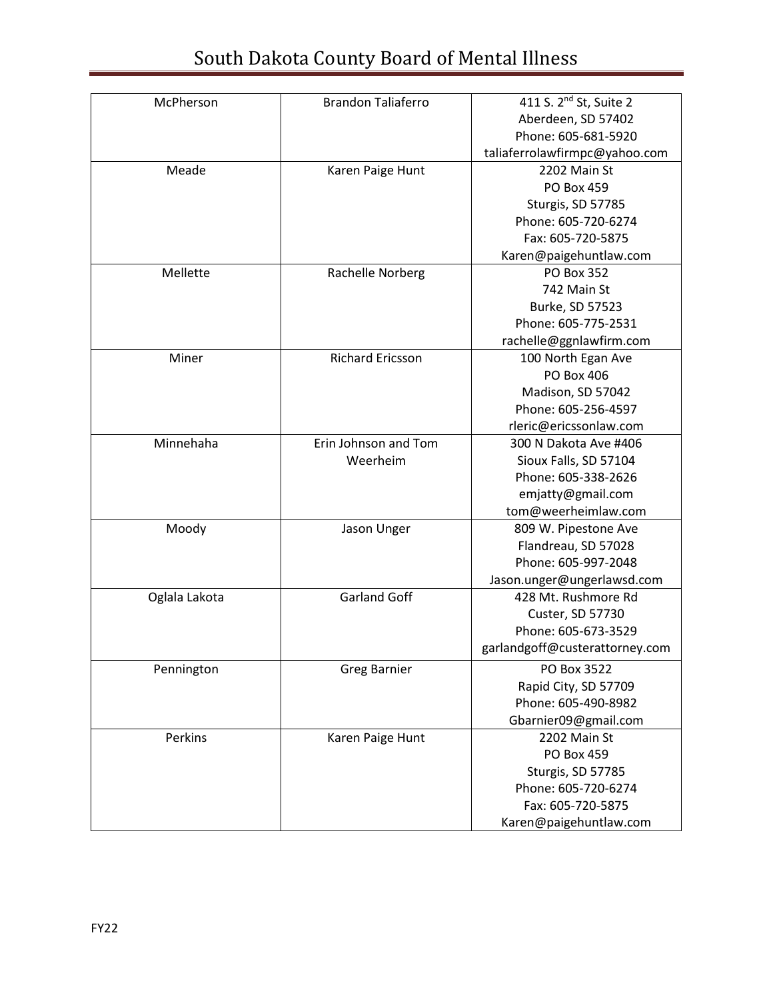| McPherson     | <b>Brandon Taliaferro</b> | 411 S. 2 <sup>nd</sup> St, Suite 2 |
|---------------|---------------------------|------------------------------------|
|               |                           | Aberdeen, SD 57402                 |
|               |                           | Phone: 605-681-5920                |
|               |                           | taliaferrolawfirmpc@yahoo.com      |
| Meade         | Karen Paige Hunt          | 2202 Main St                       |
|               |                           | <b>PO Box 459</b>                  |
|               |                           | Sturgis, SD 57785                  |
|               |                           | Phone: 605-720-6274                |
|               |                           | Fax: 605-720-5875                  |
|               |                           | Karen@paigehuntlaw.com             |
| Mellette      | Rachelle Norberg          | <b>PO Box 352</b>                  |
|               |                           | 742 Main St                        |
|               |                           | Burke, SD 57523                    |
|               |                           | Phone: 605-775-2531                |
|               |                           | rachelle@ggnlawfirm.com            |
| Miner         | <b>Richard Ericsson</b>   | 100 North Egan Ave                 |
|               |                           | PO Box 406                         |
|               |                           | Madison, SD 57042                  |
|               |                           | Phone: 605-256-4597                |
|               |                           | rleric@ericssonlaw.com             |
| Minnehaha     | Erin Johnson and Tom      | 300 N Dakota Ave #406              |
|               | Weerheim                  | Sioux Falls, SD 57104              |
|               |                           | Phone: 605-338-2626                |
|               |                           | emjatty@gmail.com                  |
|               |                           | tom@weerheimlaw.com                |
| Moody         | Jason Unger               | 809 W. Pipestone Ave               |
|               |                           | Flandreau, SD 57028                |
|               |                           | Phone: 605-997-2048                |
|               |                           | Jason.unger@ungerlawsd.com         |
| Oglala Lakota | <b>Garland Goff</b>       | 428 Mt. Rushmore Rd                |
|               |                           | Custer, SD 57730                   |
|               |                           | Phone: 605-673-3529                |
|               |                           | garlandgoff@custerattorney.com     |
| Pennington    | <b>Greg Barnier</b>       | PO Box 3522                        |
|               |                           | Rapid City, SD 57709               |
|               |                           | Phone: 605-490-8982                |
|               |                           | Gbarnier09@gmail.com               |
| Perkins       | Karen Paige Hunt          | 2202 Main St                       |
|               |                           | <b>PO Box 459</b>                  |
|               |                           | Sturgis, SD 57785                  |
|               |                           | Phone: 605-720-6274                |
|               |                           | Fax: 605-720-5875                  |
|               |                           | Karen@paigehuntlaw.com             |
|               |                           |                                    |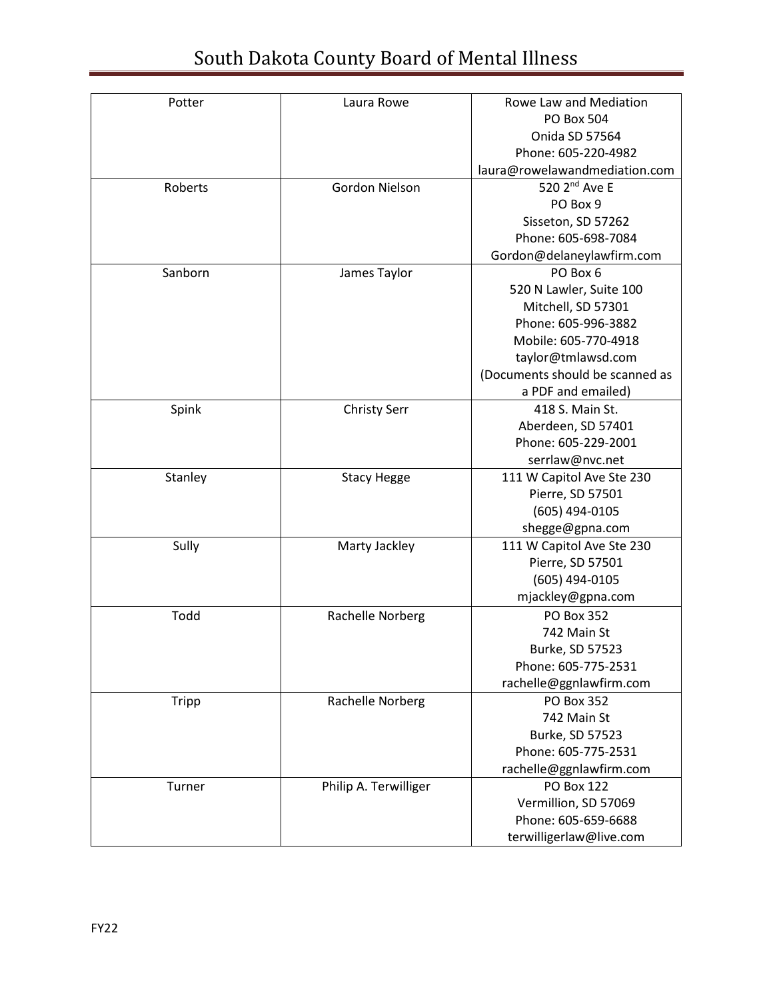| Potter       | Laura Rowe            | Rowe Law and Mediation          |
|--------------|-----------------------|---------------------------------|
|              |                       | PO Box 504                      |
|              |                       | Onida SD 57564                  |
|              |                       | Phone: 605-220-4982             |
|              |                       | laura@rowelawandmediation.com   |
| Roberts      | Gordon Nielson        | 520 2 <sup>nd</sup> Ave E       |
|              |                       | PO Box 9                        |
|              |                       | Sisseton, SD 57262              |
|              |                       | Phone: 605-698-7084             |
|              |                       | Gordon@delaneylawfirm.com       |
| Sanborn      | James Taylor          | PO Box 6                        |
|              |                       | 520 N Lawler, Suite 100         |
|              |                       | Mitchell, SD 57301              |
|              |                       | Phone: 605-996-3882             |
|              |                       | Mobile: 605-770-4918            |
|              |                       | taylor@tmlawsd.com              |
|              |                       | (Documents should be scanned as |
|              |                       | a PDF and emailed)              |
| Spink        | <b>Christy Serr</b>   | 418 S. Main St.                 |
|              |                       | Aberdeen, SD 57401              |
|              |                       | Phone: 605-229-2001             |
|              |                       | serrlaw@nvc.net                 |
| Stanley      | <b>Stacy Hegge</b>    | 111 W Capitol Ave Ste 230       |
|              |                       | Pierre, SD 57501                |
|              |                       | (605) 494-0105                  |
|              |                       | shegge@gpna.com                 |
| Sully        | Marty Jackley         | 111 W Capitol Ave Ste 230       |
|              |                       | Pierre, SD 57501                |
|              |                       | (605) 494-0105                  |
|              |                       | mjackley@gpna.com               |
| Todd         | Rachelle Norberg      | <b>PO Box 352</b>               |
|              |                       | 742 Main St                     |
|              |                       | Burke, SD 57523                 |
|              |                       | Phone: 605-775-2531             |
|              |                       | rachelle@ggnlawfirm.com         |
| <b>Tripp</b> | Rachelle Norberg      | PO Box 352                      |
|              |                       | 742 Main St                     |
|              |                       | Burke, SD 57523                 |
|              |                       | Phone: 605-775-2531             |
|              |                       | rachelle@ggnlawfirm.com         |
| Turner       | Philip A. Terwilliger | <b>PO Box 122</b>               |
|              |                       | Vermillion, SD 57069            |
|              |                       | Phone: 605-659-6688             |
|              |                       | terwilligerlaw@live.com         |